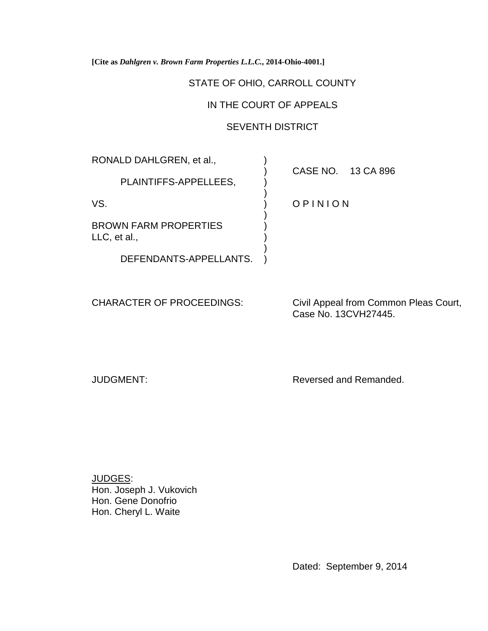**[Cite as** *Dahlgren v. Brown Farm Properties L.L.C.***, 2014-Ohio-4001.]**

# STATE OF OHIO, CARROLL COUNTY

# IN THE COURT OF APPEALS

# SEVENTH DISTRICT

)

)

)

RONALD DAHLGREN, et al.,  $\qquad \qquad$ )

PLAINTIFFS-APPELLEES,

BROWN FARM PROPERTIES LLC, et al.,

DEFENDANTS-APPELLANTS. )

) CASE NO. 13 CA 896

VS. (VS. 2002) OPINION

CHARACTER OF PROCEEDINGS: Civil Appeal from Common Pleas Court, Case No. 13CVH27445.

JUDGMENT: Reversed and Remanded.

JUDGES: Hon. Joseph J. Vukovich Hon. Gene Donofrio Hon. Cheryl L. Waite

Dated: September 9, 2014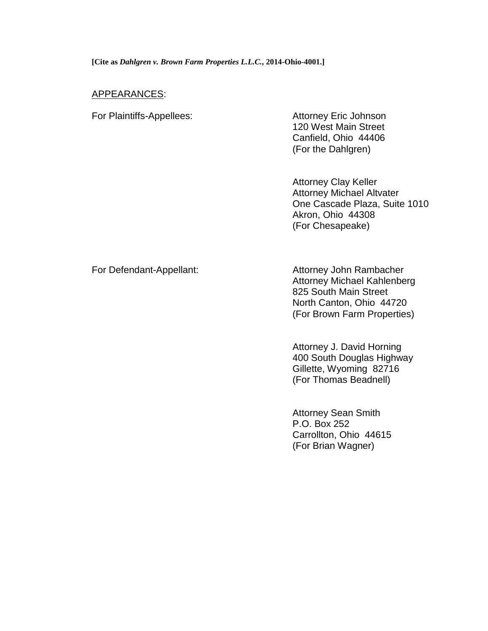# APPEARANCES:

For Plaintiffs-Appellees: Attorney Eric Johnson

120 West Main Street Canfield, Ohio 44406 (For the Dahlgren)

Attorney Clay Keller Attorney Michael Altvater One Cascade Plaza, Suite 1010 Akron, Ohio 44308 (For Chesapeake)

For Defendant-Appellant: And Attorney John Rambacher Attorney Michael Kahlenberg 825 South Main Street North Canton, Ohio 44720 (For Brown Farm Properties)

> Attorney J. David Horning 400 South Douglas Highway Gillette, Wyoming 82716 (For Thomas Beadnell)

Attorney Sean Smith P.O. Box 252 Carrollton, Ohio 44615 (For Brian Wagner)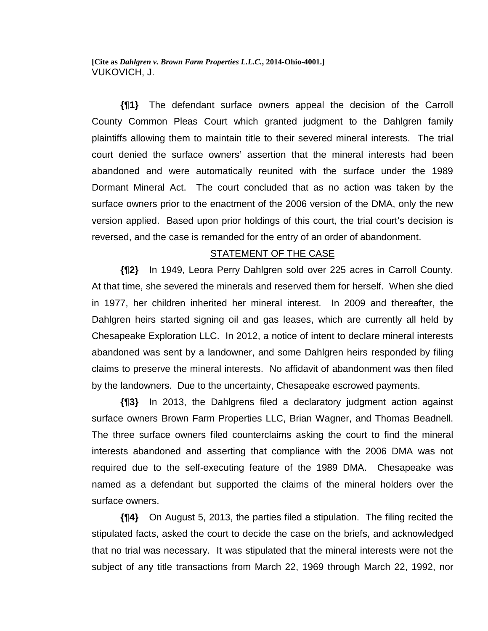**[Cite as** *Dahlgren v. Brown Farm Properties L.L.C.***, 2014-Ohio-4001.]** VUKOVICH, J.

**{¶1}** The defendant surface owners appeal the decision of the Carroll County Common Pleas Court which granted judgment to the Dahlgren family plaintiffs allowing them to maintain title to their severed mineral interests. The trial court denied the surface owners' assertion that the mineral interests had been abandoned and were automatically reunited with the surface under the 1989 Dormant Mineral Act. The court concluded that as no action was taken by the surface owners prior to the enactment of the 2006 version of the DMA, only the new version applied. Based upon prior holdings of this court, the trial court's decision is reversed, and the case is remanded for the entry of an order of abandonment.

### STATEMENT OF THE CASE

**{¶2}** In 1949, Leora Perry Dahlgren sold over 225 acres in Carroll County. At that time, she severed the minerals and reserved them for herself. When she died in 1977, her children inherited her mineral interest. In 2009 and thereafter, the Dahlgren heirs started signing oil and gas leases, which are currently all held by Chesapeake Exploration LLC. In 2012, a notice of intent to declare mineral interests abandoned was sent by a landowner, and some Dahlgren heirs responded by filing claims to preserve the mineral interests. No affidavit of abandonment was then filed by the landowners. Due to the uncertainty, Chesapeake escrowed payments.

**{¶3}** In 2013, the Dahlgrens filed a declaratory judgment action against surface owners Brown Farm Properties LLC, Brian Wagner, and Thomas Beadnell. The three surface owners filed counterclaims asking the court to find the mineral interests abandoned and asserting that compliance with the 2006 DMA was not required due to the self-executing feature of the 1989 DMA. Chesapeake was named as a defendant but supported the claims of the mineral holders over the surface owners.

**{¶4}** On August 5, 2013, the parties filed a stipulation. The filing recited the stipulated facts, asked the court to decide the case on the briefs, and acknowledged that no trial was necessary. It was stipulated that the mineral interests were not the subject of any title transactions from March 22, 1969 through March 22, 1992, nor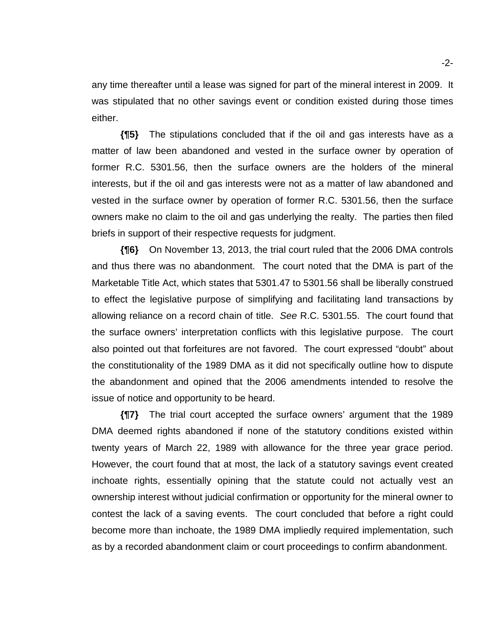any time thereafter until a lease was signed for part of the mineral interest in 2009. It was stipulated that no other savings event or condition existed during those times either.

**{¶5}** The stipulations concluded that if the oil and gas interests have as a matter of law been abandoned and vested in the surface owner by operation of former R.C. 5301.56, then the surface owners are the holders of the mineral interests, but if the oil and gas interests were not as a matter of law abandoned and vested in the surface owner by operation of former R.C. 5301.56, then the surface owners make no claim to the oil and gas underlying the realty. The parties then filed briefs in support of their respective requests for judgment.

**{¶6}** On November 13, 2013, the trial court ruled that the 2006 DMA controls and thus there was no abandonment. The court noted that the DMA is part of the Marketable Title Act, which states that 5301.47 to 5301.56 shall be liberally construed to effect the legislative purpose of simplifying and facilitating land transactions by allowing reliance on a record chain of title. *See* R.C. 5301.55. The court found that the surface owners' interpretation conflicts with this legislative purpose. The court also pointed out that forfeitures are not favored. The court expressed "doubt" about the constitutionality of the 1989 DMA as it did not specifically outline how to dispute the abandonment and opined that the 2006 amendments intended to resolve the issue of notice and opportunity to be heard.

**{¶7}** The trial court accepted the surface owners' argument that the 1989 DMA deemed rights abandoned if none of the statutory conditions existed within twenty years of March 22, 1989 with allowance for the three year grace period. However, the court found that at most, the lack of a statutory savings event created inchoate rights, essentially opining that the statute could not actually vest an ownership interest without judicial confirmation or opportunity for the mineral owner to contest the lack of a saving events. The court concluded that before a right could become more than inchoate, the 1989 DMA impliedly required implementation, such as by a recorded abandonment claim or court proceedings to confirm abandonment.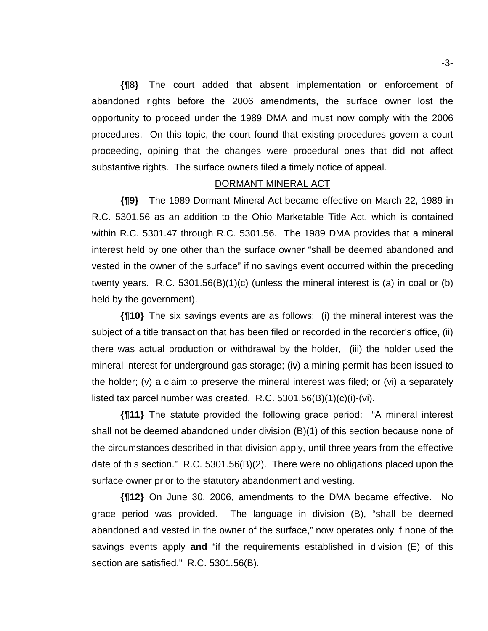**{¶8}** The court added that absent implementation or enforcement of abandoned rights before the 2006 amendments, the surface owner lost the opportunity to proceed under the 1989 DMA and must now comply with the 2006 procedures. On this topic, the court found that existing procedures govern a court proceeding, opining that the changes were procedural ones that did not affect substantive rights. The surface owners filed a timely notice of appeal.

### DORMANT MINERAL ACT

**{¶9}** The 1989 Dormant Mineral Act became effective on March 22, 1989 in R.C. 5301.56 as an addition to the Ohio Marketable Title Act, which is contained within R.C. 5301.47 through R.C. 5301.56. The 1989 DMA provides that a mineral interest held by one other than the surface owner "shall be deemed abandoned and vested in the owner of the surface" if no savings event occurred within the preceding twenty years. R.C. 5301.56(B)(1)(c) (unless the mineral interest is (a) in coal or (b) held by the government).

**{¶10}** The six savings events are as follows: (i) the mineral interest was the subject of a title transaction that has been filed or recorded in the recorder's office, (ii) there was actual production or withdrawal by the holder, (iii) the holder used the mineral interest for underground gas storage; (iv) a mining permit has been issued to the holder; (v) a claim to preserve the mineral interest was filed; or (vi) a separately listed tax parcel number was created. R.C. 5301.56(B)(1)(c)(i)-(vi).

**{¶11}** The statute provided the following grace period: "A mineral interest shall not be deemed abandoned under division (B)(1) of this section because none of the circumstances described in that division apply, until three years from the effective date of this section." R.C. 5301.56(B)(2). There were no obligations placed upon the surface owner prior to the statutory abandonment and vesting.

**{¶12}** On June 30, 2006, amendments to the DMA became effective. No grace period was provided. The language in division (B), "shall be deemed abandoned and vested in the owner of the surface," now operates only if none of the savings events apply **and** "if the requirements established in division (E) of this section are satisfied." R.C. 5301.56(B).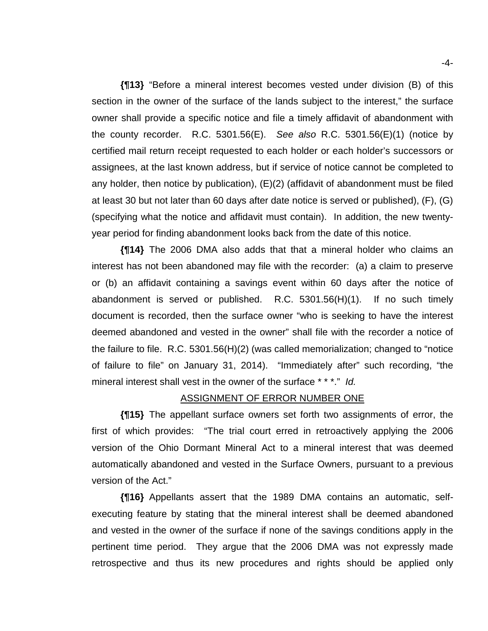**{¶13}** "Before a mineral interest becomes vested under division (B) of this section in the owner of the surface of the lands subject to the interest," the surface owner shall provide a specific notice and file a timely affidavit of abandonment with the county recorder. R.C. 5301.56(E). *See also* R.C. 5301.56(E)(1) (notice by certified mail return receipt requested to each holder or each holder's successors or assignees, at the last known address, but if service of notice cannot be completed to any holder, then notice by publication), (E)(2) (affidavit of abandonment must be filed at least 30 but not later than 60 days after date notice is served or published), (F), (G) (specifying what the notice and affidavit must contain). In addition, the new twentyyear period for finding abandonment looks back from the date of this notice.

**{¶14}** The 2006 DMA also adds that that a mineral holder who claims an interest has not been abandoned may file with the recorder: (a) a claim to preserve or (b) an affidavit containing a savings event within 60 days after the notice of abandonment is served or published. R.C. 5301.56(H)(1). If no such timely document is recorded, then the surface owner "who is seeking to have the interest deemed abandoned and vested in the owner" shall file with the recorder a notice of the failure to file. R.C. 5301.56(H)(2) (was called memorialization; changed to "notice of failure to file" on January 31, 2014). "Immediately after" such recording, "the mineral interest shall vest in the owner of the surface \* \* \*." *Id.*

#### ASSIGNMENT OF ERROR NUMBER ONE

**{¶15}** The appellant surface owners set forth two assignments of error, the first of which provides: "The trial court erred in retroactively applying the 2006 version of the Ohio Dormant Mineral Act to a mineral interest that was deemed automatically abandoned and vested in the Surface Owners, pursuant to a previous version of the Act."

**{¶16}** Appellants assert that the 1989 DMA contains an automatic, selfexecuting feature by stating that the mineral interest shall be deemed abandoned and vested in the owner of the surface if none of the savings conditions apply in the pertinent time period. They argue that the 2006 DMA was not expressly made retrospective and thus its new procedures and rights should be applied only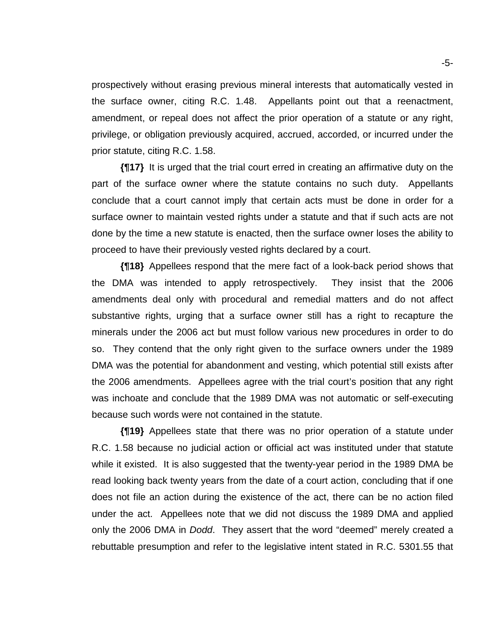prospectively without erasing previous mineral interests that automatically vested in the surface owner, citing R.C. 1.48. Appellants point out that a reenactment, amendment, or repeal does not affect the prior operation of a statute or any right, privilege, or obligation previously acquired, accrued, accorded, or incurred under the prior statute, citing R.C. 1.58.

**{¶17}** It is urged that the trial court erred in creating an affirmative duty on the part of the surface owner where the statute contains no such duty. Appellants conclude that a court cannot imply that certain acts must be done in order for a surface owner to maintain vested rights under a statute and that if such acts are not done by the time a new statute is enacted, then the surface owner loses the ability to proceed to have their previously vested rights declared by a court.

**{¶18}** Appellees respond that the mere fact of a look-back period shows that the DMA was intended to apply retrospectively. They insist that the 2006 amendments deal only with procedural and remedial matters and do not affect substantive rights, urging that a surface owner still has a right to recapture the minerals under the 2006 act but must follow various new procedures in order to do so. They contend that the only right given to the surface owners under the 1989 DMA was the potential for abandonment and vesting, which potential still exists after the 2006 amendments. Appellees agree with the trial court's position that any right was inchoate and conclude that the 1989 DMA was not automatic or self-executing because such words were not contained in the statute.

**{¶19}** Appellees state that there was no prior operation of a statute under R.C. 1.58 because no judicial action or official act was instituted under that statute while it existed. It is also suggested that the twenty-year period in the 1989 DMA be read looking back twenty years from the date of a court action, concluding that if one does not file an action during the existence of the act, there can be no action filed under the act. Appellees note that we did not discuss the 1989 DMA and applied only the 2006 DMA in *Dodd*. They assert that the word "deemed" merely created a rebuttable presumption and refer to the legislative intent stated in R.C. 5301.55 that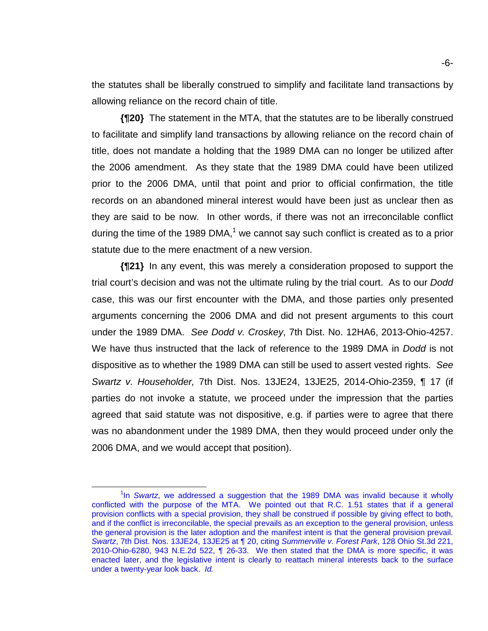the statutes shall be liberally construed to simplify and facilitate land transactions by allowing reliance on the record chain of title.

**{¶20}** The statement in the MTA, that the statutes are to be liberally construed to facilitate and simplify land transactions by allowing reliance on the record chain of title, does not mandate a holding that the 1989 DMA can no longer be utilized after the 2006 amendment. As they state that the 1989 DMA could have been utilized prior to the 2006 DMA, until that point and prior to official confirmation, the title records on an abandoned mineral interest would have been just as unclear then as they are said to be now. In other words, if there was not an irreconcilable conflict during the time of the 1989 DMA,<sup>1</sup> we cannot say such conflict is created as to a prior statute due to the mere enactment of a new version.

**{¶21}** In any event, this was merely a consideration proposed to support the trial court's decision and was not the ultimate ruling by the trial court. As to our *Dodd* case, this was our first encounter with the DMA, and those parties only presented arguments concerning the 2006 DMA and did not present arguments to this court under the 1989 DMA. *See Dodd v. Croskey*, 7th Dist. No. 12HA6, 2013-Ohio-4257. We have thus instructed that the lack of reference to the 1989 DMA in *Dodd* is not dispositive as to whether the 1989 DMA can still be used to assert vested rights. *See Swartz v. Householder,* 7th Dist. Nos. 13JE24, 13JE25, 2014-Ohio-2359, ¶ 17 (if parties do not invoke a statute, we proceed under the impression that the parties agreed that said statute was not dispositive, e.g. if parties were to agree that there was no abandonment under the 1989 DMA, then they would proceed under only the 2006 DMA, and we would accept that position).

 $\overline{\phantom{a}}$  1 <sup>1</sup>In *Swartz*, we addressed a suggestion that the 1989 DMA was invalid because it wholly conflicted with the purpose of the MTA. We pointed out that R.C. 1.51 states that if a general provision conflicts with a special provision, they shall be construed if possible by giving effect to both, and if the conflict is irreconcilable, the special prevails as an exception to the general provision, unless the general provision is the later adoption and the manifest intent is that the general provision prevail. *Swartz*, 7th Dist. Nos. 13JE24, 13JE25 at ¶ 20, citing *Summerville v. Forest Park*, 128 Ohio St.3d 221, 2010-Ohio-6280, 943 N.E.2d 522, ¶ 26-33. We then stated that the DMA is more specific, it was enacted later, and the legislative intent is clearly to reattach mineral interests back to the surface under a twenty-year look back. *Id.*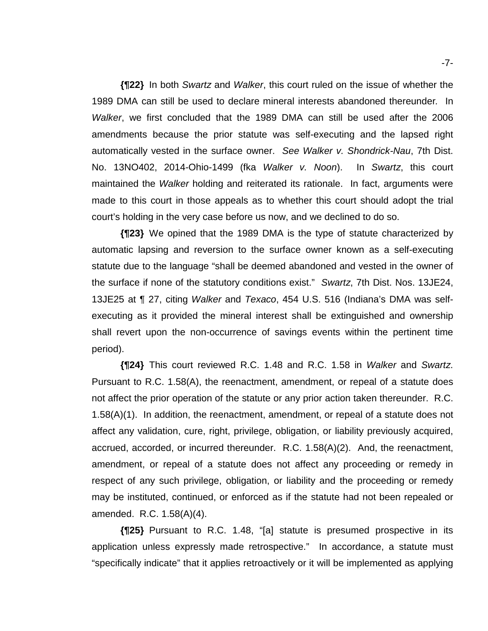**{¶22}** In both *Swartz* and *Walker*, this court ruled on the issue of whether the 1989 DMA can still be used to declare mineral interests abandoned thereunder*.* In *Walker*, we first concluded that the 1989 DMA can still be used after the 2006 amendments because the prior statute was self-executing and the lapsed right automatically vested in the surface owner. *See Walker v. Shondrick-Nau*, 7th Dist. No. 13NO402, 2014-Ohio-1499 (fka *Walker v. Noon*). In *Swartz*, this court maintained the *Walker* holding and reiterated its rationale. In fact, arguments were made to this court in those appeals as to whether this court should adopt the trial court's holding in the very case before us now, and we declined to do so.

**{¶23}** We opined that the 1989 DMA is the type of statute characterized by automatic lapsing and reversion to the surface owner known as a self-executing statute due to the language "shall be deemed abandoned and vested in the owner of the surface if none of the statutory conditions exist." *Swartz*, 7th Dist. Nos. 13JE24, 13JE25 at ¶ 27, citing *Walker* and *Texaco*, 454 U.S. 516 (Indiana's DMA was selfexecuting as it provided the mineral interest shall be extinguished and ownership shall revert upon the non-occurrence of savings events within the pertinent time period).

**{¶24}** This court reviewed R.C. 1.48 and R.C. 1.58 in *Walker* and *Swartz*. Pursuant to R.C. 1.58(A), the reenactment, amendment, or repeal of a statute does not affect the prior operation of the statute or any prior action taken thereunder. R.C. 1.58(A)(1). In addition, the reenactment, amendment, or repeal of a statute does not affect any validation, cure, right, privilege, obligation, or liability previously acquired, accrued, accorded, or incurred thereunder. R.C. 1.58(A)(2). And, the reenactment, amendment, or repeal of a statute does not affect any proceeding or remedy in respect of any such privilege, obligation, or liability and the proceeding or remedy may be instituted, continued, or enforced as if the statute had not been repealed or amended. R.C. 1.58(A)(4).

**{¶25}** Pursuant to R.C. 1.48, "[a] statute is presumed prospective in its application unless expressly made retrospective." In accordance, a statute must "specifically indicate" that it applies retroactively or it will be implemented as applying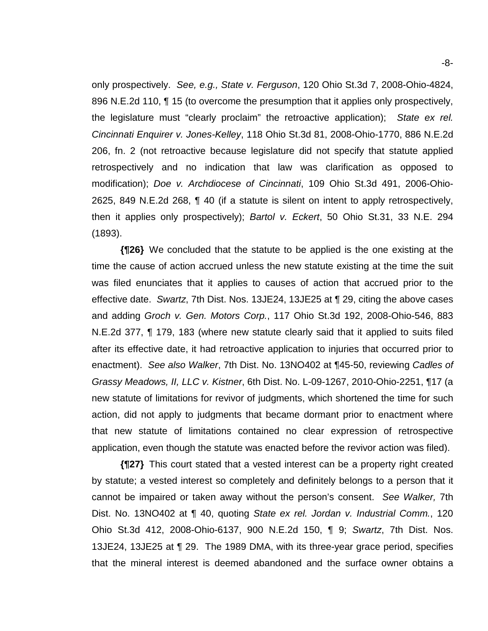only prospectively. *See, e.g., State v. Ferguson*, 120 Ohio St.3d 7, 2008-Ohio-4824, 896 N.E.2d 110, ¶ 15 (to overcome the presumption that it applies only prospectively, the legislature must "clearly proclaim" the retroactive application); *State ex rel. Cincinnati Enquirer v. Jones-Kelley*, 118 Ohio St.3d 81, 2008-Ohio-1770, 886 N.E.2d 206, fn. 2 (not retroactive because legislature did not specify that statute applied retrospectively and no indication that law was clarification as opposed to modification); *Doe v. Archdiocese of Cincinnati*, 109 Ohio St.3d 491, 2006-Ohio-2625, 849 N.E.2d 268, ¶ 40 (if a statute is silent on intent to apply retrospectively, then it applies only prospectively); *Bartol v. Eckert*, 50 Ohio St.31, 33 N.E. 294 (1893).

**{¶26}** We concluded that the statute to be applied is the one existing at the time the cause of action accrued unless the new statute existing at the time the suit was filed enunciates that it applies to causes of action that accrued prior to the effective date. *Swartz*, 7th Dist. Nos. 13JE24, 13JE25 at ¶ 29, citing the above cases and adding *Groch v. Gen. Motors Corp.*, 117 Ohio St.3d 192, 2008-Ohio-546, 883 N.E.2d 377, ¶ 179, 183 (where new statute clearly said that it applied to suits filed after its effective date, it had retroactive application to injuries that occurred prior to enactment). *See also Walker*, 7th Dist. No. 13NO402 at ¶45-50, reviewing *Cadles of Grassy Meadows, II, LLC v. Kistner*, 6th Dist. No. L-09-1267, 2010-Ohio-2251, ¶17 (a new statute of limitations for revivor of judgments, which shortened the time for such action, did not apply to judgments that became dormant prior to enactment where that new statute of limitations contained no clear expression of retrospective application, even though the statute was enacted before the revivor action was filed).

**{¶27}** This court stated that a vested interest can be a property right created by statute; a vested interest so completely and definitely belongs to a person that it cannot be impaired or taken away without the person's consent. *See Walker,* 7th Dist. No. 13NO402 at ¶ 40, quoting *State ex rel. Jordan v. Industrial Comm.*, 120 Ohio St.3d 412, 2008-Ohio-6137, 900 N.E.2d 150, ¶ 9; *Swartz*, 7th Dist. Nos. 13JE24, 13JE25 at ¶ 29. The 1989 DMA, with its three-year grace period, specifies that the mineral interest is deemed abandoned and the surface owner obtains a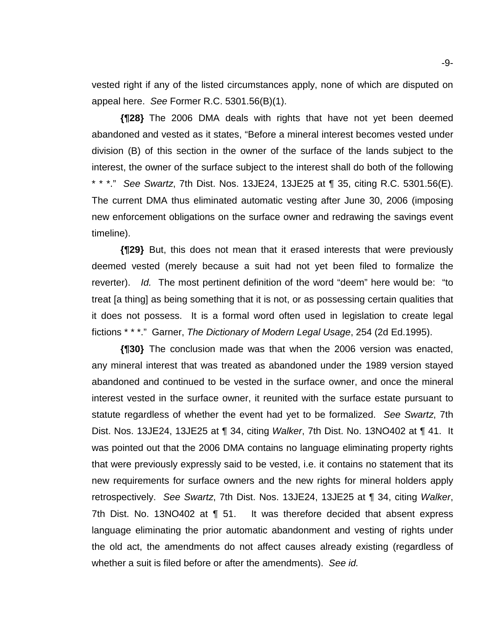vested right if any of the listed circumstances apply, none of which are disputed on appeal here. *See* Former R.C. 5301.56(B)(1).

**{¶28}** The 2006 DMA deals with rights that have not yet been deemed abandoned and vested as it states, "Before a mineral interest becomes vested under division (B) of this section in the owner of the surface of the lands subject to the interest, the owner of the surface subject to the interest shall do both of the following \* \* \*." *See Swartz*, 7th Dist. Nos. 13JE24, 13JE25 at ¶ 35, citing R.C. 5301.56(E). The current DMA thus eliminated automatic vesting after June 30, 2006 (imposing new enforcement obligations on the surface owner and redrawing the savings event timeline).

**{¶29}** But, this does not mean that it erased interests that were previously deemed vested (merely because a suit had not yet been filed to formalize the reverter). *Id.* The most pertinent definition of the word "deem" here would be: "to treat [a thing] as being something that it is not, or as possessing certain qualities that it does not possess. It is a formal word often used in legislation to create legal fictions \* \* \*." Garner, *The Dictionary of Modern Legal Usage*, 254 (2d Ed.1995).

**{¶30}** The conclusion made was that when the 2006 version was enacted, any mineral interest that was treated as abandoned under the 1989 version stayed abandoned and continued to be vested in the surface owner, and once the mineral interest vested in the surface owner, it reunited with the surface estate pursuant to statute regardless of whether the event had yet to be formalized. *See Swartz*, 7th Dist. Nos. 13JE24, 13JE25 at ¶ 34, citing *Walker*, 7th Dist. No. 13NO402 at ¶ 41. It was pointed out that the 2006 DMA contains no language eliminating property rights that were previously expressly said to be vested, i.e. it contains no statement that its new requirements for surface owners and the new rights for mineral holders apply retrospectively. *See Swartz*, 7th Dist. Nos. 13JE24, 13JE25 at ¶ 34, citing *Walker*, 7th Dist. No. 13NO402 at ¶ 51. It was therefore decided that absent express language eliminating the prior automatic abandonment and vesting of rights under the old act, the amendments do not affect causes already existing (regardless of whether a suit is filed before or after the amendments). *See id.*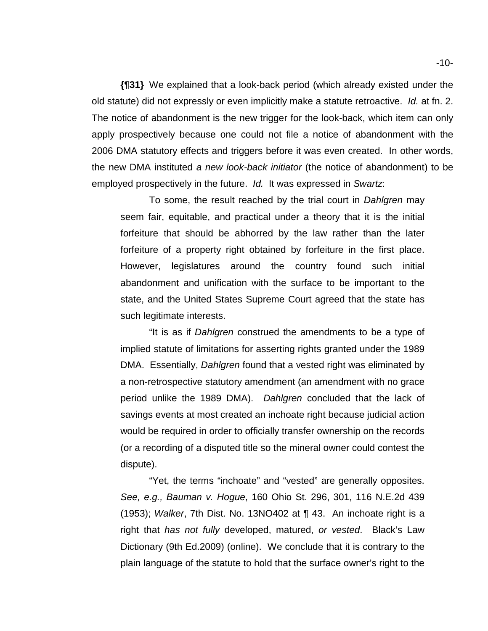**{¶31}** We explained that a look-back period (which already existed under the old statute) did not expressly or even implicitly make a statute retroactive. *Id.* at fn. 2. The notice of abandonment is the new trigger for the look-back, which item can only apply prospectively because one could not file a notice of abandonment with the 2006 DMA statutory effects and triggers before it was even created. In other words, the new DMA instituted *a new look-back initiator* (the notice of abandonment) to be employed prospectively in the future. *Id.* It was expressed in *Swartz*:

To some, the result reached by the trial court in *Dahlgren* may seem fair, equitable, and practical under a theory that it is the initial forfeiture that should be abhorred by the law rather than the later forfeiture of a property right obtained by forfeiture in the first place. However, legislatures around the country found such initial abandonment and unification with the surface to be important to the state, and the United States Supreme Court agreed that the state has such legitimate interests.

"It is as if *Dahlgren* construed the amendments to be a type of implied statute of limitations for asserting rights granted under the 1989 DMA. Essentially, *Dahlgren* found that a vested right was eliminated by a non-retrospective statutory amendment (an amendment with no grace period unlike the 1989 DMA). *Dahlgren* concluded that the lack of savings events at most created an inchoate right because judicial action would be required in order to officially transfer ownership on the records (or a recording of a disputed title so the mineral owner could contest the dispute).

"Yet, the terms "inchoate" and "vested" are generally opposites. *See, e.g., Bauman v. Hogue*, 160 Ohio St. 296, 301, 116 N.E.2d 439 (1953); *Walker*, 7th Dist. No. 13NO402 at ¶ 43. An inchoate right is a right that *has not fully* developed, matured, *or vested*. Black's Law Dictionary (9th Ed.2009) (online). We conclude that it is contrary to the plain language of the statute to hold that the surface owner's right to the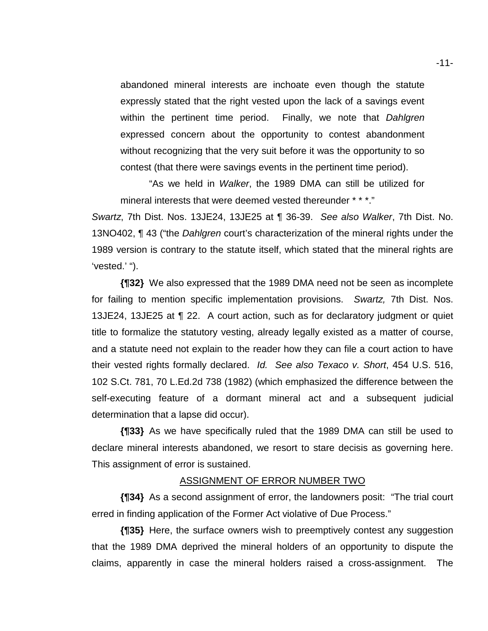abandoned mineral interests are inchoate even though the statute expressly stated that the right vested upon the lack of a savings event within the pertinent time period. Finally, we note that *Dahlgren* expressed concern about the opportunity to contest abandonment without recognizing that the very suit before it was the opportunity to so contest (that there were savings events in the pertinent time period).

"As we held in *Walker*, the 1989 DMA can still be utilized for mineral interests that were deemed vested thereunder \* \* \*."

*Swartz*, 7th Dist. Nos. 13JE24, 13JE25 at ¶ 36-39. *See also Walker*, 7th Dist. No. 13NO402, ¶ 43 ("the *Dahlgren* court's characterization of the mineral rights under the 1989 version is contrary to the statute itself, which stated that the mineral rights are 'vested.' ").

**{¶32}** We also expressed that the 1989 DMA need not be seen as incomplete for failing to mention specific implementation provisions. *Swartz,* 7th Dist. Nos. 13JE24, 13JE25 at ¶ 22. A court action, such as for declaratory judgment or quiet title to formalize the statutory vesting, already legally existed as a matter of course, and a statute need not explain to the reader how they can file a court action to have their vested rights formally declared. *Id. See also Texaco v. Short*, 454 U.S. 516, 102 S.Ct. 781, 70 L.Ed.2d 738 (1982) (which emphasized the difference between the self-executing feature of a dormant mineral act and a subsequent judicial determination that a lapse did occur).

**{¶33}** As we have specifically ruled that the 1989 DMA can still be used to declare mineral interests abandoned, we resort to stare decisis as governing here. This assignment of error is sustained.

#### ASSIGNMENT OF ERROR NUMBER TWO

**{¶34}** As a second assignment of error, the landowners posit: "The trial court erred in finding application of the Former Act violative of Due Process."

**{¶35}** Here, the surface owners wish to preemptively contest any suggestion that the 1989 DMA deprived the mineral holders of an opportunity to dispute the claims, apparently in case the mineral holders raised a cross-assignment. The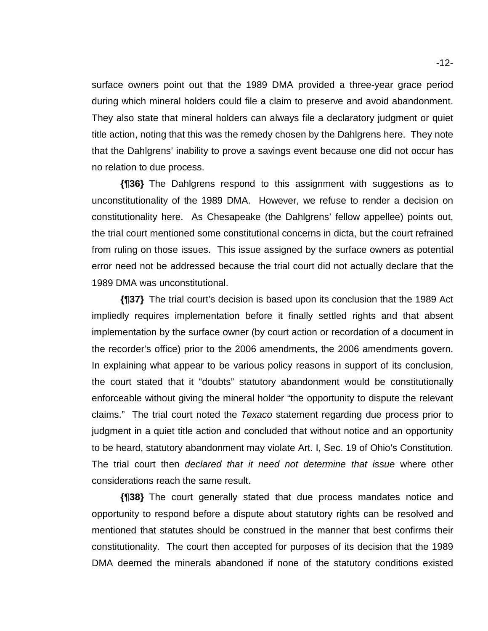surface owners point out that the 1989 DMA provided a three-year grace period during which mineral holders could file a claim to preserve and avoid abandonment. They also state that mineral holders can always file a declaratory judgment or quiet title action, noting that this was the remedy chosen by the Dahlgrens here. They note that the Dahlgrens' inability to prove a savings event because one did not occur has no relation to due process.

**{¶36}** The Dahlgrens respond to this assignment with suggestions as to unconstitutionality of the 1989 DMA. However, we refuse to render a decision on constitutionality here. As Chesapeake (the Dahlgrens' fellow appellee) points out, the trial court mentioned some constitutional concerns in dicta, but the court refrained from ruling on those issues. This issue assigned by the surface owners as potential error need not be addressed because the trial court did not actually declare that the 1989 DMA was unconstitutional.

**{¶37}** The trial court's decision is based upon its conclusion that the 1989 Act impliedly requires implementation before it finally settled rights and that absent implementation by the surface owner (by court action or recordation of a document in the recorder's office) prior to the 2006 amendments, the 2006 amendments govern. In explaining what appear to be various policy reasons in support of its conclusion, the court stated that it "doubts" statutory abandonment would be constitutionally enforceable without giving the mineral holder "the opportunity to dispute the relevant claims." The trial court noted the *Texaco* statement regarding due process prior to judgment in a quiet title action and concluded that without notice and an opportunity to be heard, statutory abandonment may violate Art. I, Sec. 19 of Ohio's Constitution. The trial court then *declared that it need not determine that issue* where other considerations reach the same result.

**{¶38}** The court generally stated that due process mandates notice and opportunity to respond before a dispute about statutory rights can be resolved and mentioned that statutes should be construed in the manner that best confirms their constitutionality. The court then accepted for purposes of its decision that the 1989 DMA deemed the minerals abandoned if none of the statutory conditions existed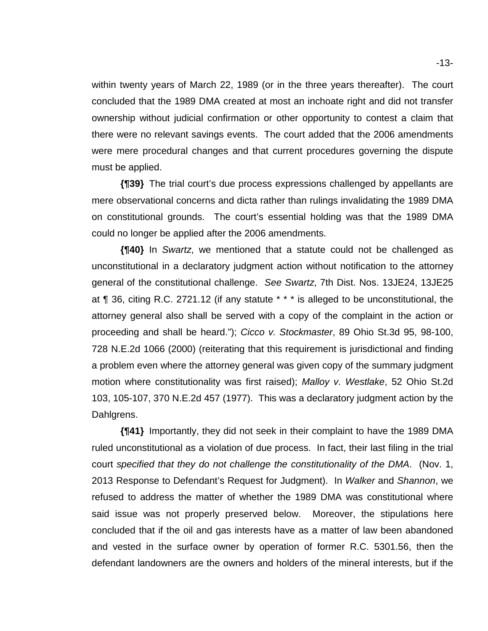within twenty years of March 22, 1989 (or in the three years thereafter). The court concluded that the 1989 DMA created at most an inchoate right and did not transfer ownership without judicial confirmation or other opportunity to contest a claim that there were no relevant savings events. The court added that the 2006 amendments were mere procedural changes and that current procedures governing the dispute must be applied.

**{¶39}** The trial court's due process expressions challenged by appellants are mere observational concerns and dicta rather than rulings invalidating the 1989 DMA on constitutional grounds. The court's essential holding was that the 1989 DMA could no longer be applied after the 2006 amendments.

**{¶40}** In *Swartz*, we mentioned that a statute could not be challenged as unconstitutional in a declaratory judgment action without notification to the attorney general of the constitutional challenge. *See Swartz*, 7th Dist. Nos. 13JE24, 13JE25 at ¶ 36, citing R.C. 2721.12 (if any statute \* \* \* is alleged to be unconstitutional, the attorney general also shall be served with a copy of the complaint in the action or proceeding and shall be heard."); *Cicco v. Stockmaster*, 89 Ohio St.3d 95, 98-100, 728 N.E.2d 1066 (2000) (reiterating that this requirement is jurisdictional and finding a problem even where the attorney general was given copy of the summary judgment motion where constitutionality was first raised); *Malloy v. Westlake*, 52 Ohio St.2d 103, 105-107, 370 N.E.2d 457 (1977). This was a declaratory judgment action by the Dahlgrens.

**{¶41}** Importantly, they did not seek in their complaint to have the 1989 DMA ruled unconstitutional as a violation of due process. In fact, their last filing in the trial court *specified that they do not challenge the constitutionality of the DMA*. (Nov. 1, 2013 Response to Defendant's Request for Judgment). In *Walker* and *Shannon*, we refused to address the matter of whether the 1989 DMA was constitutional where said issue was not properly preserved below. Moreover, the stipulations here concluded that if the oil and gas interests have as a matter of law been abandoned and vested in the surface owner by operation of former R.C. 5301.56, then the defendant landowners are the owners and holders of the mineral interests, but if the